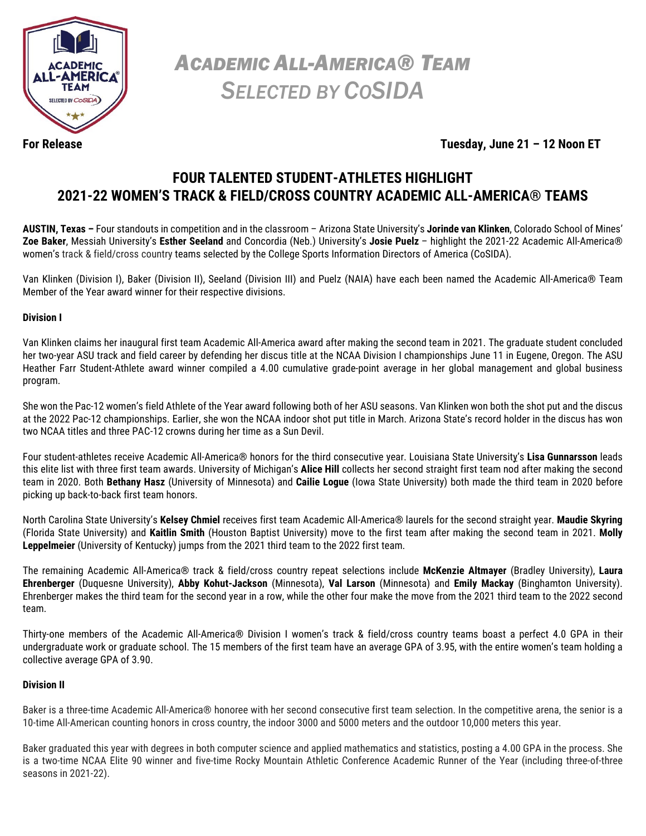

*ACADEMIC ALL-AMERICA® TEAM SELECTED BY COSIDA*

**For Release Tuesday, June 21 – 12 Noon ET**

## **FOUR TALENTED STUDENT-ATHLETES HIGHLIGHT 2021-22 WOMEN'S TRACK & FIELD/CROSS COUNTRY ACADEMIC ALL-AMERICA® TEAMS**

**AUSTIN, Texas –** Four standouts in competition and in the classroom – Arizona State University's **Jorinde van Klinken**, Colorado School of Mines' **Zoe Baker**, Messiah University's **Esther Seeland** and Concordia (Neb.) University's **Josie Puelz** – highlight the 2021-22 Academic All-America® women's track & field/cross country teams selected by the College Sports Information Directors of America (CoSIDA).

Van Klinken (Division I), Baker (Division II), Seeland (Division III) and Puelz (NAIA) have each been named the Academic All-America® Team Member of the Year award winner for their respective divisions.

### **Division I**

Van Klinken claims her inaugural first team Academic All-America award after making the second team in 2021. The graduate student concluded her two-year ASU track and field career by defending her discus title at the NCAA Division I championships June 11 in Eugene, Oregon. The ASU Heather Farr Student-Athlete award winner compiled a 4.00 cumulative grade-point average in her global management and global business program.

She won the Pac-12 women's field Athlete of the Year award following both of her ASU seasons. Van Klinken won both the shot put and the discus at the 2022 Pac-12 championships. Earlier, she won the NCAA indoor shot put title in March. Arizona State's record holder in the discus has won two NCAA titles and three PAC-12 crowns during her time as a Sun Devil.

Four student-athletes receive Academic All-America® honors for the third consecutive year. Louisiana State University's **Lisa Gunnarsson** leads this elite list with three first team awards. University of Michigan's **Alice Hill** collects her second straight first team nod after making the second team in 2020. Both **Bethany Hasz** (University of Minnesota) and **Cailie Logue** (Iowa State University) both made the third team in 2020 before picking up back-to-back first team honors.

North Carolina State University's **Kelsey Chmiel** receives first team Academic All-America® laurels for the second straight year. **Maudie Skyring** (Florida State University) and **Kaitlin Smith** (Houston Baptist University) move to the first team after making the second team in 2021. **Molly Leppelmeier** (University of Kentucky) jumps from the 2021 third team to the 2022 first team.

The remaining Academic All-America® track & field/cross country repeat selections include **McKenzie Altmayer** (Bradley University), **Laura Ehrenberger** (Duquesne University), **Abby Kohut-Jackson** (Minnesota), **Val Larson** (Minnesota) and **Emily Mackay** (Binghamton University). Ehrenberger makes the third team for the second year in a row, while the other four make the move from the 2021 third team to the 2022 second team.

Thirty-one members of the Academic All-America® Division I women's track & field/cross country teams boast a perfect 4.0 GPA in their undergraduate work or graduate school. The 15 members of the first team have an average GPA of 3.95, with the entire women's team holding a collective average GPA of 3.90.

### **Division II**

Baker is a three-time Academic All-America® honoree with her second consecutive first team selection. In the competitive arena, the senior is a 10-time All-American counting honors in cross country, the indoor 3000 and 5000 meters and the outdoor 10,000 meters this year.

Baker graduated this year with degrees in both computer science and applied mathematics and statistics, posting a 4.00 GPA in the process. She is a two-time NCAA Elite 90 winner and five-time Rocky Mountain Athletic Conference Academic Runner of the Year (including three-of-three seasons in 2021-22).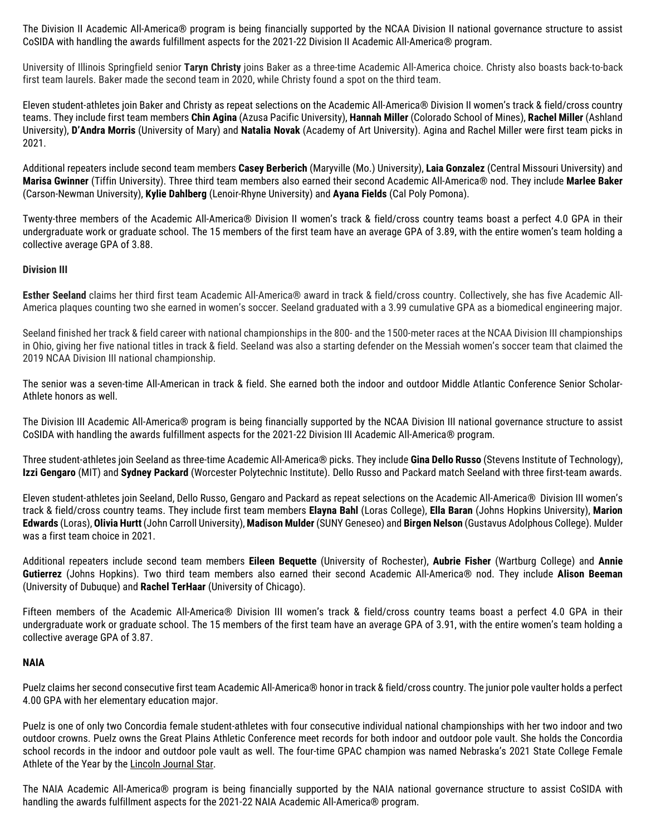The Division II Academic All-America® program is being financially supported by the NCAA Division II national governance structure to assist CoSIDA with handling the awards fulfillment aspects for the 2021-22 Division II Academic All-America® program.

University of Illinois Springfield senior **Taryn Christy** joins Baker as a three-time Academic All-America choice. Christy also boasts back-to-back first team laurels. Baker made the second team in 2020, while Christy found a spot on the third team.

Eleven student-athletes join Baker and Christy as repeat selections on the Academic All-America® Division II women's track & field/cross country teams. They include first team members **Chin Agina** (Azusa Pacific University), **Hannah Miller** (Colorado School of Mines), **Rachel Miller** (Ashland University), **D'Andra Morris** (University of Mary) and **Natalia Novak** (Academy of Art University). Agina and Rachel Miller were first team picks in 2021.

Additional repeaters include second team members **Casey Berberich** (Maryville (Mo.) Universit*y*), **Laia Gonzalez** (Central Missouri University) and **Marisa Gwinner** (Tiffin University). Three third team members also earned their second Academic All-America® nod. They include **Marlee Baker**  (Carson-Newman University), **Kylie Dahlberg** (Lenoir-Rhyne University) and **Ayana Fields** (Cal Poly Pomona).

Twenty-three members of the Academic All-America® Division II women's track & field/cross country teams boast a perfect 4.0 GPA in their undergraduate work or graduate school. The 15 members of the first team have an average GPA of 3.89, with the entire women's team holding a collective average GPA of 3.88.

### **Division III**

**Esther Seeland** claims her third first team Academic All-America® award in track & field/cross country. Collectively, she has five Academic All-America plaques counting two she earned in women's soccer. Seeland graduated with a 3.99 cumulative GPA as a biomedical engineering major.

Seeland finished her track & field career with national championships in the 800- and the 1500-meter races at the NCAA Division III championships in Ohio, giving her five national titles in track & field. Seeland was also a starting defender on the Messiah women's soccer team that claimed the 2019 NCAA Division III national championship.

The senior was a seven-time All-American in track & field. She earned both the indoor and outdoor Middle Atlantic Conference Senior Scholar-Athlete honors as well.

The Division III Academic All-America® program is being financially supported by the NCAA Division III national governance structure to assist CoSIDA with handling the awards fulfillment aspects for the 2021-22 Division III Academic All-America® program.

Three student-athletes join Seeland as three-time Academic All-America® picks. They include **Gina Dello Russo** (Stevens Institute of Technology), **Izzi Gengaro** (MIT) and **Sydney Packard** (Worcester Polytechnic Institute). Dello Russo and Packard match Seeland with three first-team awards.

Eleven student-athletes join Seeland, Dello Russo, Gengaro and Packard as repeat selections on the Academic All-America® Division III women's track & field/cross country teams. They include first team members **Elayna Bahl** (Loras College), **Ella Baran** (Johns Hopkins University), **Marion Edwards** (Loras), **Olivia Hurtt** (John Carroll University), **Madison Mulder** (SUNY Geneseo) and **Birgen Nelson** (Gustavus Adolphous College). Mulder was a first team choice in 2021.

Additional repeaters include second team members **Eileen Bequette** (University of Rochester), **Aubrie Fisher** (Wartburg College) and **Annie Gutierrez** (Johns Hopkins). Two third team members also earned their second Academic All-America® nod. They include **Alison Beeman** (University of Dubuque) and **Rachel TerHaar** (University of Chicago).

Fifteen members of the Academic All-America® Division III women's track & field/cross country teams boast a perfect 4.0 GPA in their undergraduate work or graduate school. The 15 members of the first team have an average GPA of 3.91, with the entire women's team holding a collective average GPA of 3.87.

### **NAIA**

Puelz claims her second consecutive first team Academic All-America® honor in track & field/cross country. The junior pole vaulter holds a perfect 4.00 GPA with her elementary education major.

Puelz is one of only two Concordia female student-athletes with four consecutive individual national championships with her two indoor and two outdoor crowns. Puelz owns the Great Plains Athletic Conference meet records for both indoor and outdoor pole vault. She holds the Concordia school records in the indoor and outdoor pole vault as well. The four-time GPAC champion was named Nebraska's 2021 State College Female Athlete of the Year by the Lincoln Journal Star.

The NAIA Academic All-America® program is being financially supported by the NAIA national governance structure to assist CoSIDA with handling the awards fulfillment aspects for the 2021-22 NAIA Academic All-America® program.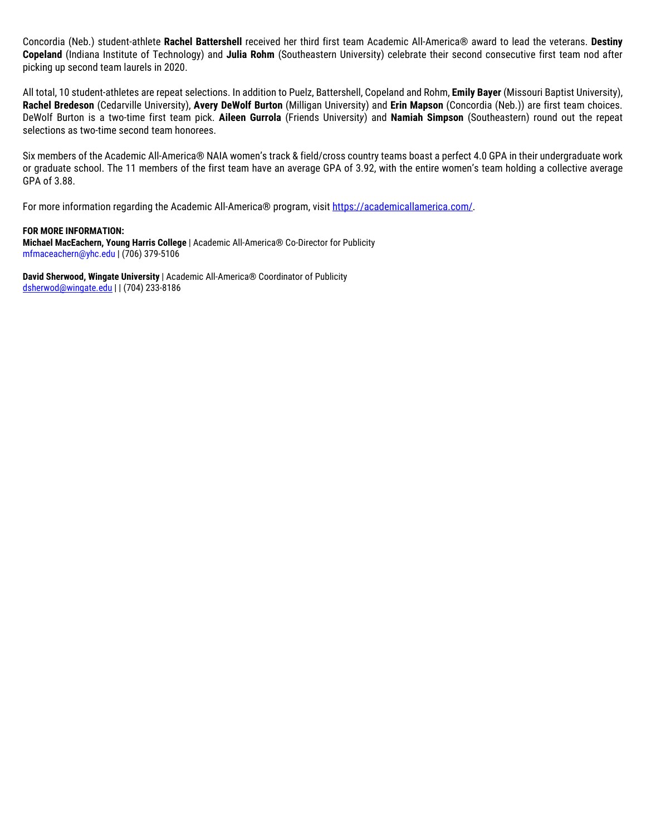Concordia (Neb.) student-athlete **Rachel Battershell** received her third first team Academic All-America® award to lead the veterans. **Destiny Copeland** (Indiana Institute of Technology) and **Julia Rohm** (Southeastern University) celebrate their second consecutive first team nod after picking up second team laurels in 2020.

All total, 10 student-athletes are repeat selections. In addition to Puelz, Battershell, Copeland and Rohm, **Emily Bayer** (Missouri Baptist University), **Rachel Bredeson** (Cedarville University), **Avery DeWolf Burton** (Milligan University) and **Erin Mapson** (Concordia (Neb.)) are first team choices. DeWolf Burton is a two-time first team pick. **Aileen Gurrola** (Friends Universit*y*) and **Namiah Simpson** (Southeastern) round out the repeat selections as two-time second team honorees.

Six members of the Academic All-America® NAIA women's track & field/cross country teams boast a perfect 4.0 GPA in their undergraduate work or graduate school. The 11 members of the first team have an average GPA of 3.92, with the entire women's team holding a collective average GPA of 3.88.

For more information regarding the Academic All-America® program, visit [https://academicallamerica.com/.](https://academicallamerica.com/)

#### **FOR MORE INFORMATION:**

**Michael MacEachern, Young Harris College** | Academic All-America® Co-Director for Publicity mfmaceachern@yhc.edu | (706) 379-5106

**David Sherwood, Wingate University** | Academic All-America® Coordinator of Publicity [dsherwod@wingate.edu](mailto:dsherwod@wingate.edu) | | (704) 233-8186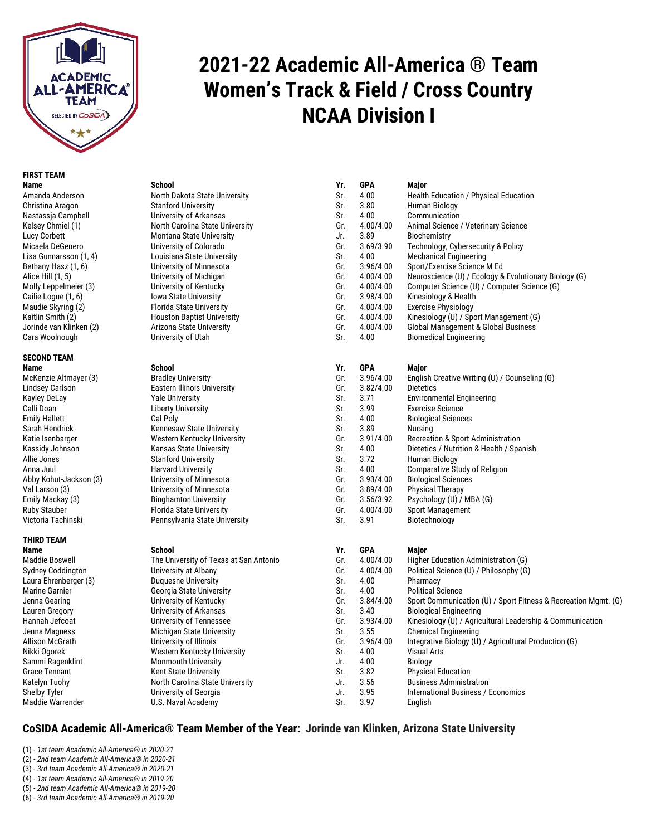

## **FIRST TEAM**

## **SECOND TEAM**

## **THIRD TEAM**

Laura Ehrenberger (3)<br>Marine Garnier

# **2021-22 Academic All-America** ® **Team Women's Track & Field / Cross Country NCAA Division I**

| Name                    | School                            |
|-------------------------|-----------------------------------|
| Amanda Anderson         | North Dakota State University     |
| Christina Aragon        | <b>Stanford University</b>        |
| Nastassia Campbell      | University of Arkansas            |
| Kelsey Chmiel (1)       | North Carolina State University   |
| Lucy Corbett            | Montana State University          |
| Micaela DeGenero        | University of Colorado            |
| Lisa Gunnarsson (1, 4)  | Louisiana State University        |
| Bethany Hasz (1, 6)     | University of Minnesota           |
| Alice Hill (1, 5)       | University of Michigan            |
| Molly Leppelmeier (3)   | University of Kentucky            |
| Cailie Logue (1, 6)     | <b>Iowa State University</b>      |
| Maudie Skyring (2)      | <b>Florida State University</b>   |
| Kaitlin Smith (2)       | <b>Houston Baptist University</b> |
| Jorinde van Klinken (2) | Arizona State University          |
| Cara Woolnough          | University of Utah                |

Maddie Boswell The University of Texas at San Antonio Sydney Coddington University at Albany<br>Laura Ehrenberger (3) Puguesne University Georgia State University University of Arkansas Hannah Jefcoat **Mannah Jeftoat** Green Green Bannah Jefcoat Jenna Magness Michigan State University<br>Allison McGrath Sallis Engineering University of Illinois Nikki Ogorek Western Kentucky University<br>Sammi Ragenklint Sammouth University Monmouth University<br>
Solution Monmouth University<br>
Sr. 3.82 Physical Education<br>
Sr. 3.82 Physical Education Grace Tennant **Kent State University** Sr. 3.82 Katelyn Tuohy North Carolina State University Jr. 3.56 Business Administration Shelby Tyler (Shelby Tyler Technomics University of Georgia Christian Library Schedule Martenational Business / Economics Maddie Warrender U.S. Naval Academy (Shelby Sr. 3.97 English U.S. Naval Academy Sr.

| <b>FIRST TEAM</b>        |                                        |     |            |                                                                |
|--------------------------|----------------------------------------|-----|------------|----------------------------------------------------------------|
| <b>Name</b>              | <b>School</b>                          | Yr. | <b>GPA</b> | <b>Major</b>                                                   |
| Amanda Anderson          | North Dakota State University          | Sr. | 4.00       | Health Education / Physical Education                          |
| Christina Aragon         | <b>Stanford University</b>             | Sr. | 3.80       | Human Biology                                                  |
| Nastassia Campbell       | University of Arkansas                 | Sr. | 4.00       | Communication                                                  |
| Kelsey Chmiel (1)        | North Carolina State University        | Gr. | 4.00/4.00  | Animal Science / Veterinary Science                            |
| Lucy Corbett             | Montana State University               | Jr. | 3.89       | Biochemistry                                                   |
| Micaela DeGenero         | University of Colorado                 | Gr. | 3.69/3.90  | Technology, Cybersecurity & Policy                             |
| Lisa Gunnarsson (1, 4)   | Louisiana State University             | Sr. | 4.00       | <b>Mechanical Engineering</b>                                  |
| Bethany Hasz (1, 6)      | University of Minnesota                | Gr. | 3.96/4.00  | Sport/Exercise Science M Ed                                    |
| Alice Hill (1, 5)        | University of Michigan                 | Gr. | 4.00/4.00  | Neuroscience (U) / Ecology & Evolutionary Biology (G)          |
| Molly Leppelmeier (3)    | University of Kentucky                 | Gr. | 4.00/4.00  | Computer Science (U) / Computer Science (G)                    |
| Cailie Logue (1, 6)      | <b>Iowa State University</b>           | Gr. | 3.98/4.00  | Kinesiology & Health                                           |
| Maudie Skyring (2)       | <b>Florida State University</b>        | Gr. | 4.00/4.00  | <b>Exercise Physiology</b>                                     |
| Kaitlin Smith (2)        | <b>Houston Baptist University</b>      | Gr. | 4.00/4.00  | Kinesiology (U) / Sport Management (G)                         |
| Jorinde van Klinken (2)  | Arizona State University               | Gr. | 4.00/4.00  | <b>Global Management &amp; Global Business</b>                 |
| Cara Woolnough           | University of Utah                     | Sr. | 4.00       | <b>Biomedical Engineering</b>                                  |
|                          |                                        |     |            |                                                                |
| <b>SECOND TEAM</b>       |                                        |     |            |                                                                |
| Name                     | <b>School</b>                          | Yr. | <b>GPA</b> | Major                                                          |
| McKenzie Altmayer (3)    | <b>Bradley University</b>              | Gr. | 3.96/4.00  | English Creative Writing (U) / Counseling (G)                  |
| Lindsey Carlson          | Eastern Illinois University            | Gr. | 3.82/4.00  | <b>Dietetics</b>                                               |
| <b>Kayley DeLay</b>      | <b>Yale University</b>                 | Sr. | 3.71       | <b>Environmental Engineering</b>                               |
| Calli Doan               | <b>Liberty University</b>              | Sr. | 3.99       | <b>Exercise Science</b>                                        |
| <b>Emily Hallett</b>     | Cal Poly                               | Sr. | 4.00       | <b>Biological Sciences</b>                                     |
| Sarah Hendrick           | <b>Kennesaw State University</b>       | Sr. | 3.89       | Nursing                                                        |
| Katie Isenbarger         | Western Kentucky University            | Gr. | 3.91/4.00  | Recreation & Sport Administration                              |
| Kassidy Johnson          | <b>Kansas State University</b>         | Sr. | 4.00       | Dietetics / Nutrition & Health / Spanish                       |
| Allie Jones              | <b>Stanford University</b>             | Sr. | 3.72       | Human Biology                                                  |
| Anna Juul                | <b>Harvard University</b>              | Sr. | 4.00       | <b>Comparative Study of Religion</b>                           |
| Abby Kohut-Jackson (3)   | University of Minnesota                | Gr. | 3.93/4.00  | <b>Biological Sciences</b>                                     |
| Val Larson (3)           | University of Minnesota                | Gr. | 3.89/4.00  | <b>Physical Therapy</b>                                        |
| Emily Mackay (3)         | <b>Binghamton University</b>           | Gr. | 3.56/3.92  | Psychology (U) / MBA (G)                                       |
| <b>Ruby Stauber</b>      | Florida State University               | Gr. | 4.00/4.00  | <b>Sport Management</b>                                        |
| Victoria Tachinski       | Pennsylvania State University          | Sr. | 3.91       | Biotechnology                                                  |
| <b>THIRD TEAM</b>        |                                        |     |            |                                                                |
| Name                     | School                                 | Yr. | <b>GPA</b> | Major                                                          |
| <b>Maddie Boswell</b>    | The University of Texas at San Antonio | Gr. | 4.00/4.00  | Higher Education Administration (G)                            |
| <b>Sydney Coddington</b> | University at Albany                   | Gr. | 4.00/4.00  | Political Science (U) / Philosophy (G)                         |
| Laura Ehrenberger (3)    | <b>Duquesne University</b>             | Sr. | 4.00       | Pharmacy                                                       |
| <b>Marine Garnier</b>    | Georgia State University               | Sr. | 4.00       | <b>Political Science</b>                                       |
| Jenna Gearing            | University of Kentucky                 | Gr. | 3.84/4.00  | Sport Communication (U) / Sport Fitness & Recreation Mgmt. (G) |
| Lauren Gregory           | University of Arkansas                 | Sr. | 3.40       | <b>Biological Engineering</b>                                  |
| Hannah Jefcoat           | University of Tennessee                | Gr. | 3.93/4.00  | Kinesiology (U) / Agricultural Leadership & Communication      |
| Jenna Magness            | Michigan State University              | Sr. | 3.55       | <b>Chemical Engineering</b>                                    |
| Allison McGrath          | University of Illinois                 | Gr. | 3.96/4.00  | Integrative Biology (U) / Agricultural Production (G)          |
| Nikki Ogorek             | <b>Western Kentucky University</b>     | Sr. | 4.00       | <b>Visual Arts</b>                                             |
| <b>Cammi Daganklint</b>  | Monmouth University                    | Ir. | 4.00       | <b>Riology</b>                                                 |

- 
- 

### **CoSIDA Academic All-America® Team Member of the Year: Jorinde van Klinken, Arizona State University**

(1) - *1st team Academic All-America® in 2020-21*

(2) - *2nd team Academic All-America® in 2020-21*

(3) - *3rd team Academic All-America® in 2020-21*

(4) - *1st team Academic All-America® in 2019-20*

(5) - *2nd team Academic All-America® in 2019-20*

(6) - *3rd team Academic All-America® in 2019-20*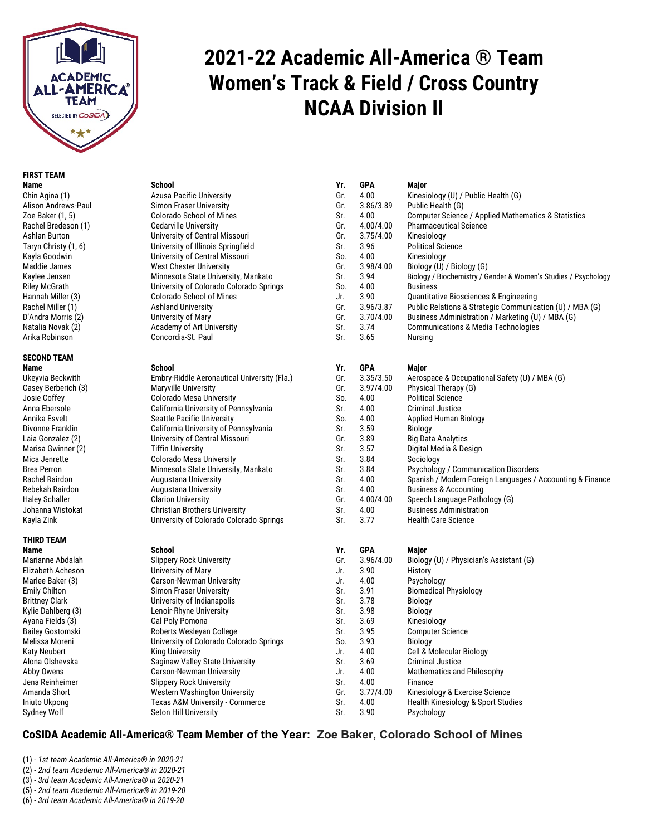

## **FIRST TEAM**

# **SECOND TEAM**

## **THIRD TEAM**

Elizabeth Acheson<br>Marlee Baker (3) Ayana Fields (3) Cal Poly Pomona<br>Bailey Gostomski Call Poberts Wesleyan

# **2021-22 Academic All-America** ® **Team Women's Track & Field / Cross Country NCAA Division II**

| Azusa Pacific University                |
|-----------------------------------------|
| Simon Fraser University                 |
| Colorado School of Mines                |
| Cedarville University                   |
| Jniversity of Central Missouri          |
| University of Illinois Springfield      |
| Jniversity of Central Missouri          |
| West Chester University                 |
| Minnesota State University, Mankato     |
| Jniversity of Colorado Colorado Springs |
| Colorado School of Mines                |
| Ashland University                      |
| Jniversity of Mary                      |
| Academy of Art University               |
| Concordia-St. Paul                      |

**Name School Yr. GPA Major** Marianne Abdalah Slippery Rock University<br>
Elizabeth Acheson **Biology (C)** University of Mary Marlee Baker (3) Carson-Newman University Fig. 1. A.00 Psychology<br>
Emily Chilton Communisty Simon Fraser University Child St. 3.91 Biomedical Physiology Emily Chilton Simon Fraser University Sr. 3.91 Sr. 3.91 Sr. 3.91 Sr. 3.91 Sr. 3.91 Biomedical Physiology of Indianapolis Sr. 3.91 Sr. Brittney Clark University of Indianapolis Sr. 3.78 Biology Lenoir-Rhyne University Bailey Gostomski Koberts Wesleyan College Sailey Gostomski<br>1953 Moreni Melissa Moreni Schwarzer Schwersity of Colorado Col University of Colorado Colora Alona Olshevska Saginaw Valley State University Sr. 3.69 Criminal Dubber State University State University State Abby Owens Carson-Newman University Jena Reinheimer Slippery Rock University Superversity Superversity Superversity<br>Simanda Short Superversity Superversity Nestern Washington Uni Amanda Short Western Washington University<br>
Iniuto Ukpong Texas A&M University - Comm Iniuto Ukpong Texas A&M University - Comm<br>Sydney Wolf Seton Hill University Seton Hill University

| FIRƏI I EAMI         |                                             |     |            |                                                                |
|----------------------|---------------------------------------------|-----|------------|----------------------------------------------------------------|
| Name                 | <b>School</b>                               | Yr. | <b>GPA</b> | <b>Major</b>                                                   |
| Chin Agina (1)       | <b>Azusa Pacific University</b>             | Gr. | 4.00       | Kinesiology (U) / Public Health (G)                            |
| Alison Andrews-Paul  | Simon Fraser University                     | Gr. | 3.86/3.89  | Public Health (G)                                              |
| Zoe Baker (1, 5)     | <b>Colorado School of Mines</b>             | Sr. | 4.00       | Computer Science / Applied Mathematics & Statistics            |
| Rachel Bredeson (1)  | <b>Cedarville University</b>                | Gr. | 4.00/4.00  | <b>Pharmaceutical Science</b>                                  |
| Ashlan Burton        | University of Central Missouri              | Gr. | 3.75/4.00  | Kinesiology                                                    |
| Taryn Christy (1, 6) | University of Illinois Springfield          | Sr. | 3.96       | <b>Political Science</b>                                       |
| Kayla Goodwin        | University of Central Missouri              | So. | 4.00       | Kinesiology                                                    |
| Maddie James         | <b>West Chester University</b>              | Gr. | 3.98/4.00  | Biology (U) / Biology (G)                                      |
| Kaylee Jensen        | Minnesota State University, Mankato         | Sr. | 3.94       | Biology / Biochemistry / Gender & Women's Studies / Psychology |
| <b>Riley McGrath</b> | University of Colorado Colorado Springs     | So. | 4.00       | <b>Business</b>                                                |
| Hannah Miller (3)    | <b>Colorado School of Mines</b>             | Jr. | 3.90       | Quantitative Biosciences & Engineering                         |
| Rachel Miller (1)    | <b>Ashland University</b>                   | Gr. | 3.96/3.87  | Public Relations & Strategic Communication (U) / MBA (G)       |
| D'Andra Morris (2)   | University of Mary                          | Gr. | 3.70/4.00  | Business Administration / Marketing (U) / MBA (G)              |
| Natalia Novak (2)    | Academy of Art University                   | Sr. | 3.74       | <b>Communications &amp; Media Technologies</b>                 |
| Arika Robinson       | Concordia-St. Paul                          | Sr. | 3.65       | Nursing                                                        |
| SECOND TEAM          |                                             |     |            |                                                                |
| Name                 | <b>School</b>                               | Yr. | <b>GPA</b> | Major                                                          |
| Ukeyvia Beckwith     | Embry-Riddle Aeronautical University (Fla.) | Gr. | 3.35/3.50  | Aerospace & Occupational Safety (U) / MBA (G)                  |
| Casey Berberich (3)  | <b>Maryville University</b>                 | Gr. | 3.97/4.00  | Physical Therapy (G)                                           |
| Josie Coffey         | <b>Colorado Mesa University</b>             | So. | 4.00       | <b>Political Science</b>                                       |
| Anna Ebersole        | California University of Pennsylvania       | Sr. | 4.00       | <b>Criminal Justice</b>                                        |
| Annika Esvelt        | <b>Seattle Pacific University</b>           | So. | 4.00       | <b>Applied Human Biology</b>                                   |
| Divonne Franklin     | California University of Pennsylvania       | Sr. | 3.59       | <b>Biology</b>                                                 |
| Laia Gonzalez (2)    | University of Central Missouri              | Gr. | 3.89       | <b>Big Data Analytics</b>                                      |
| Marisa Gwinner (2)   | <b>Tiffin University</b>                    | Sr. | 3.57       | Digital Media & Design                                         |
| Mica Jenrette        | <b>Colorado Mesa University</b>             | Sr. | 3.84       | Sociology                                                      |
| <b>Brea Perron</b>   | Minnesota State University, Mankato         | Sr. | 3.84       | Psychology / Communication Disorders                           |
| Rachel Rairdon       | <b>Augustana University</b>                 | Sr. | 4.00       | Spanish / Modern Foreign Languages / Accounting & Finance      |
| Rebekah Rairdon      | <b>Augustana University</b>                 | Sr. | 4.00       | <b>Business &amp; Accounting</b>                               |
| Haley Schaller       | <b>Clarion University</b>                   | Gr. | 4.00/4.00  | Speech Language Pathology (G)                                  |
| Johanna Wistokat     | <b>Christian Brothers University</b>        | Sr. | 4.00       | <b>Business Administration</b>                                 |
| Kayla Zink           | University of Colorado Colorado Springs     | Sr. | 3.77       | <b>Health Care Science</b>                                     |
| THIRD TEAM           |                                             |     |            |                                                                |
| Name                 | <b>School</b>                               | Yr. | <b>GPA</b> | Major                                                          |
| Marianne Abdalah     | <b>Slippery Rock University</b>             | Gr. | 3.96/4.00  | Biology (U) / Physician's Assistant (G)                        |
| Elizabeth Acheson    | University of Mary                          | Jr. | 3.90       | History                                                        |
| Marlee Baker (3)     | <b>Carson-Newman University</b>             | Jr. | 4.00       | Psychology                                                     |
|                      |                                             |     |            |                                                                |

| Kylie Dahlberg (3) | Lenoir-Rhyne University                 | Sr. | 3.98      | Biology                                       |
|--------------------|-----------------------------------------|-----|-----------|-----------------------------------------------|
| Ayana Fields (3)   | Cal Poly Pomona                         | Sr. | 3.69      | Kinesiology                                   |
| Bailey Gostomski   | Roberts Wesleyan College                | Sr. | 3.95      | <b>Computer Science</b>                       |
| Melissa Moreni     | University of Colorado Colorado Springs | So. | 3.93      | Biology                                       |
| Katy Neubert       | <b>King University</b>                  | Jr. | 4.00      | Cell & Molecular Biology                      |
| Alona Olshevska    | Saginaw Valley State University         | Sr. | 3.69      | <b>Criminal Justice</b>                       |
| Abby Owens         | Carson-Newman University                | Jr. | 4.00      | Mathematics and Philosophy                    |
| Jena Reinheimer    | <b>Slippery Rock University</b>         | Sr. | 4.00      | Finance                                       |
| Amanda Short       | <b>Western Washington University</b>    | Gr. | 3.77/4.00 | Kinesiology & Exercise Science                |
| Iniuto Ukpong      | Texas A&M University - Commerce         | Sr. | 4.00      | <b>Health Kinesiology &amp; Sport Studies</b> |
| Sydney Wolf        | Seton Hill University                   | Sr. | 3.90      | Psychology                                    |

### **CoSIDA Academic All-America® Team Member of the Year: Zoe Baker, Colorado School of Mines**

- (1) *1st team Academic All-America® in 2020-21*
- (2) *2nd team Academic All-America® in 2020-21*
- (3) *3rd team Academic All-America® in 2020-21*
- (5) *2nd team Academic All-America® in 2019-20*
- (6) *3rd team Academic All-America® in 2019-20*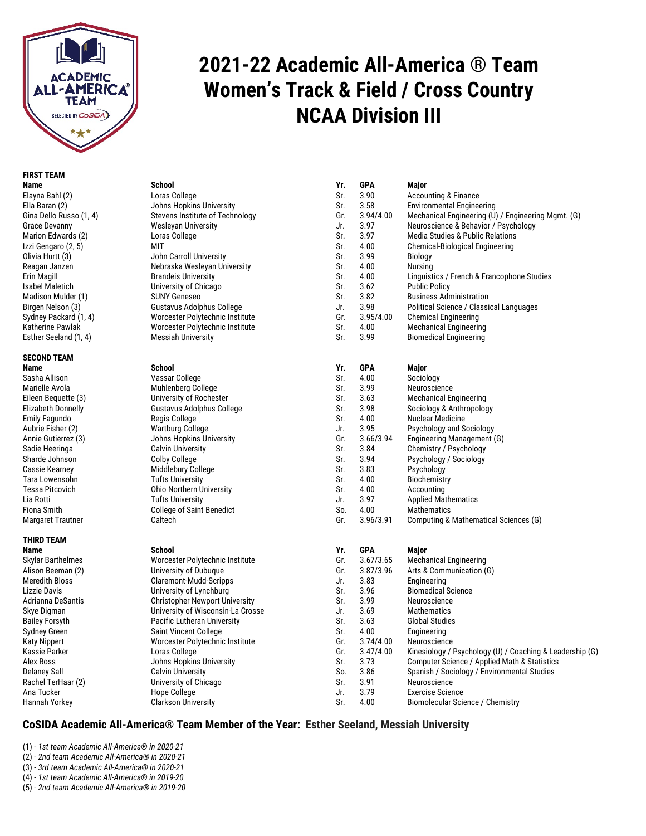

# **2021-22 Academic All-America** ® **Team Women's Track & Field / Cross Country NCAA Division III**

## **FIRST TEAM**

## **SECOND TEAM**

## **THIRD TEAM**

| Name                    | <b>School</b>                         | Yr. | <b>GPA</b> | Major                                                    |
|-------------------------|---------------------------------------|-----|------------|----------------------------------------------------------|
| Elayna Bahl (2)         | Loras College                         | Sr. | 3.90       | <b>Accounting &amp; Finance</b>                          |
| Ella Baran (2)          | Johns Hopkins University              | Sr. | 3.58       | <b>Environmental Engineering</b>                         |
| Gina Dello Russo (1, 4) | Stevens Institute of Technology       | Gr. | 3.94/4.00  | Mechanical Engineering (U) / Engineering Mgmt. (G)       |
| Grace Devanny           | <b>Wesleyan University</b>            | Jr. | 3.97       | Neuroscience & Behavior / Psychology                     |
| Marion Edwards (2)      | Loras College                         | Sr. | 3.97       | Media Studies & Public Relations                         |
| Izzi Gengaro (2, 5)     | <b>MIT</b>                            | Sr. | 4.00       | Chemical-Biological Engineering                          |
| Olivia Hurtt (3)        | John Carroll University               | Sr. | 3.99       | <b>Biology</b>                                           |
| Reagan Janzen           | Nebraska Wesleyan University          | Sr. | 4.00       | Nursing                                                  |
| Erin Magill             | <b>Brandeis University</b>            | Sr. | 4.00       | Linguistics / French & Francophone Studies               |
| Isabel Maletich         | University of Chicago                 | Sr. | 3.62       | <b>Public Policy</b>                                     |
| Madison Mulder (1)      | <b>SUNY Geneseo</b>                   | Sr. | 3.82       | <b>Business Administration</b>                           |
| Birgen Nelson (3)       | Gustavus Adolphus College             | Jr. | 3.98       | Political Science / Classical Languages                  |
| Sydney Packard (1, 4)   | Worcester Polytechnic Institute       | Gr. | 3.95/4.00  | <b>Chemical Engineering</b>                              |
| Katherine Pawlak        | Worcester Polytechnic Institute       | Sr. | 4.00       | <b>Mechanical Engineering</b>                            |
| Esther Seeland (1, 4)   | <b>Messiah University</b>             | Sr. | 3.99       | <b>Biomedical Engineering</b>                            |
| SECOND TEAM             |                                       |     |            |                                                          |
| Name                    | <b>School</b>                         | Yr. | <b>GPA</b> | Major                                                    |
| Sasha Allison           | Vassar College                        | Sr. | 4.00       | Sociology                                                |
| Marielle Avola          | Muhlenberg College                    | Sr. | 3.99       | Neuroscience                                             |
| Eileen Bequette (3)     | University of Rochester               | Sr. | 3.63       | <b>Mechanical Engineering</b>                            |
| Elizabeth Donnelly      | Gustavus Adolphus College             | Sr. | 3.98       | Sociology & Anthropology                                 |
| Emily Fagundo           | Regis College                         | Sr. | 4.00       | <b>Nuclear Medicine</b>                                  |
| Aubrie Fisher (2)       | <b>Wartburg College</b>               | Jr. | 3.95       | <b>Psychology and Sociology</b>                          |
| Annie Gutierrez (3)     | Johns Hopkins University              | Gr. | 3.66/3.94  | Engineering Management (G)                               |
| Sadie Heeringa          | <b>Calvin University</b>              | Sr. | 3.84       | Chemistry / Psychology                                   |
| Sharde Johnson          | <b>Colby College</b>                  | Sr. | 3.94       | Psychology / Sociology                                   |
| Cassie Kearnev          | Middlebury College                    | Sr. | 3.83       | Psychology                                               |
| Tara Lowensohn          | <b>Tufts University</b>               | Sr. | 4.00       | Biochemistry                                             |
| Tessa Pitcovich         | <b>Ohio Northern University</b>       | Sr. | 4.00       | Accounting                                               |
| Lia Rotti               | <b>Tufts University</b>               | Jr. | 3.97       | <b>Applied Mathematics</b>                               |
| Fiona Smith             | <b>College of Saint Benedict</b>      | So. | 4.00       | Mathematics                                              |
| Margaret Trautner       | Caltech                               | Gr. | 3.96/3.91  | Computing & Mathematical Sciences (G)                    |
| THIRD TEAM              |                                       |     |            |                                                          |
| Name                    | <b>School</b>                         | Yr. | <b>GPA</b> | Major                                                    |
| Skylar Barthelmes       | Worcester Polytechnic Institute       | Gr. | 3.67/3.65  | <b>Mechanical Engineering</b>                            |
| Alison Beeman (2)       | University of Dubuque                 | Gr. | 3.87/3.96  | Arts & Communication (G)                                 |
| Meredith Bloss          | Claremont-Mudd-Scripps                | Jr. | 3.83       | Engineering                                              |
| Lizzie Davis            | University of Lynchburg               | Sr. | 3.96       | <b>Biomedical Science</b>                                |
| Adrianna DeSantis       | <b>Christopher Newport University</b> | Sr. | 3.99       | Neuroscience                                             |
| Skye Digman             | University of Wisconsin-La Crosse     | Jr. | 3.69       | Mathematics                                              |
| Bailey Forsyth          | Pacific Lutheran University           | Sr. | 3.63       | <b>Global Studies</b>                                    |
| Sydney Green            | <b>Saint Vincent College</b>          | Sr. | 4.00       | Engineering                                              |
| Katy Nippert            | Worcester Polytechnic Institute       | Gr. | 3.74/4.00  | Neuroscience                                             |
| Kassie Parker           | Loras College                         | Gr. | 3.47/4.00  | Kinesiology / Psychology (U) / Coaching & Leadership (G) |
| Alex Ross               | Johns Hopkins University              | Sr. | 3.73       | Computer Science / Applied Math & Statistics             |
| Delaney Sall            | <b>Calvin University</b>              | So. | 3.86       | Spanish / Sociology / Environmental Studies              |
| Rachel TerHaar (2)      | University of Chicago                 | Sr. | 3.91       | Neuroscience                                             |
| Ana Tucker              | Hope College                          | Jr. | 3.79       | <b>Exercise Science</b>                                  |
| Hannah Yorkey           | <b>Clarkson University</b>            | Sr. | 4.00       | Biomolecular Science / Chemistry                         |

### **CoSIDA Academic All-America® Team Member of the Year: Esther Seeland, Messiah University**

(1) - *1st team Academic All-America® in 2020-21*

(2) - *2nd team Academic All-America® in 2020-21*

(3) - *3rd team Academic All-America® in 2020-21*

(4) - *1st team Academic All-America® in 2019-20*

(5) - *2nd team Academic All-America® in 2019-20*